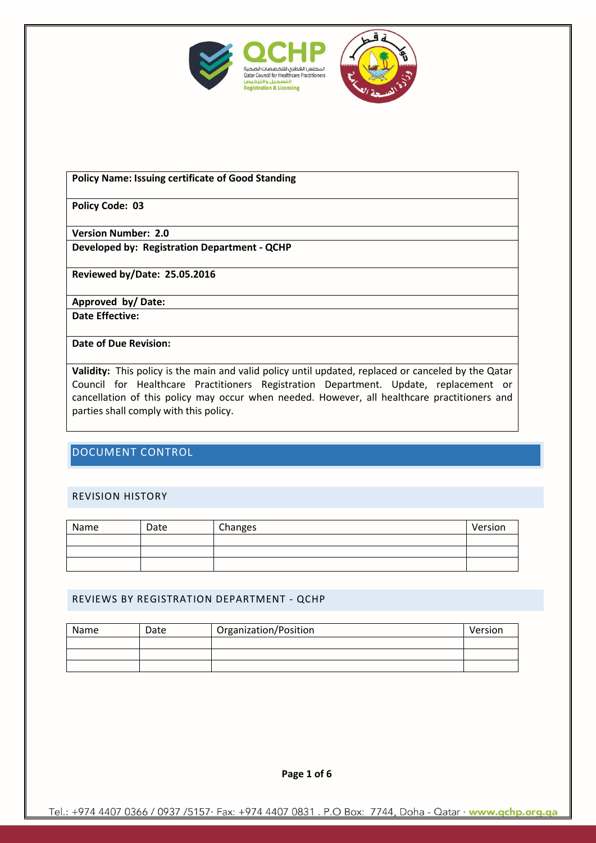



#### **Policy Name: Issuing certificate of Good Standing**

**Policy Code: 03**

**Version Number: 2.0 Developed by: Registration Department - QCHP**

**Reviewed by/Date: 25.05.2016**

**Approved by/ Date:** 

**Date Effective:** 

**Date of Due Revision:** 

**Validity:** This policy is the main and valid policy until updated, replaced or canceled by the Qatar Council for Healthcare Practitioners Registration Department. Update, replacement or cancellation of this policy may occur when needed. However, all healthcare practitioners and parties shall comply with this policy.

## DOCUMENT CONTROL

#### REVISION HISTORY

| Name | Date | Changes | Version |
|------|------|---------|---------|
|      |      |         |         |
|      |      |         |         |
|      |      |         |         |

#### REVIEWS BY REGISTRATION DEPARTMENT - QCHP

| Name | Date | Organization/Position | Version |
|------|------|-----------------------|---------|
|      |      |                       |         |
|      |      |                       |         |
|      |      |                       |         |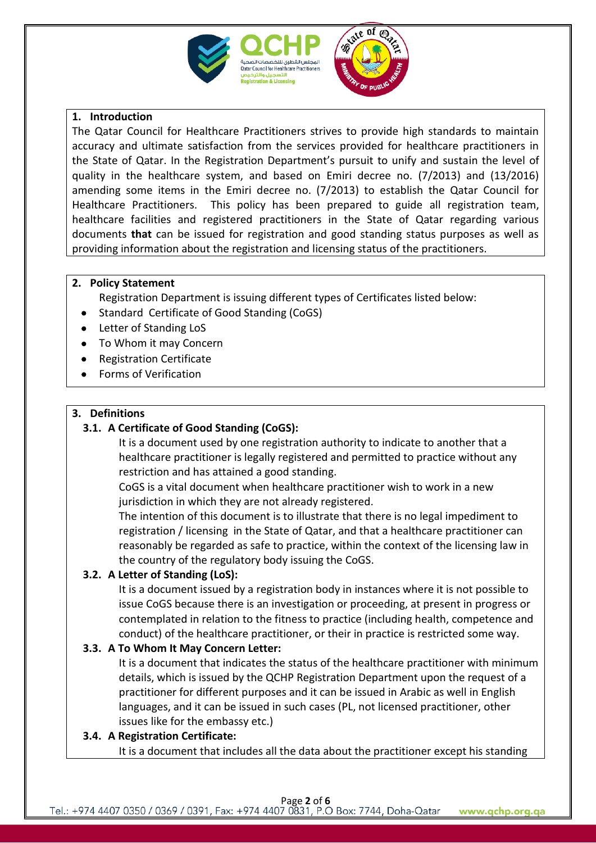

# re ot @

## **1. Introduction**

The Qatar Council for Healthcare Practitioners strives to provide high standards to maintain accuracy and ultimate satisfaction from the services provided for healthcare practitioners in the State of Qatar. In the Registration Department's pursuit to unify and sustain the level of quality in the healthcare system, and based on Emiri decree no. (7/2013) and (13/2016) amending some items in the Emiri decree no. (7/2013) to establish the Qatar Council for Healthcare Practitioners. This policy has been prepared to guide all registration team, healthcare facilities and registered practitioners in the State of Qatar regarding various documents **that** can be issued for registration and good standing status purposes as well as providing information about the registration and licensing status of the practitioners.

## **2. Policy Statement**

Registration Department is issuing different types of Certificates listed below:

- Standard Certificate of Good Standing (CoGS)
- Letter of Standing LoS
- To Whom it may Concern
- Registration Certificate
- Forms of Verification

# **3. Definitions**

# **3.1. A Certificate of Good Standing (CoGS):**

It is a document used by one registration authority to indicate to another that a healthcare practitioner is legally registered and permitted to practice without any restriction and has attained a good standing.

CoGS is a vital document when healthcare practitioner wish to work in a new jurisdiction in which they are not already registered.

The intention of this document is to illustrate that there is no legal impediment to registration / licensing in the State of Qatar, and that a healthcare practitioner can reasonably be regarded as safe to practice, within the context of the licensing law in the country of the regulatory body issuing the CoGS.

# **3.2. A Letter of Standing (LoS):**

It is a document issued by a registration body in instances where it is not possible to issue CoGS because there is an investigation or proceeding, at present in progress or contemplated in relation to the fitness to practice (including health, competence and conduct) of the healthcare practitioner, or their in practice is restricted some way.

# **3.3. A To Whom It May Concern Letter:**

It is a document that indicates the status of the healthcare practitioner with minimum details, which is issued by the QCHP Registration Department upon the request of a practitioner for different purposes and it can be issued in Arabic as well in English languages, and it can be issued in such cases (PL, not licensed practitioner, other issues like for the embassy etc.)

# **3.4. A Registration Certificate:**

It is a document that includes all the data about the practitioner except his standing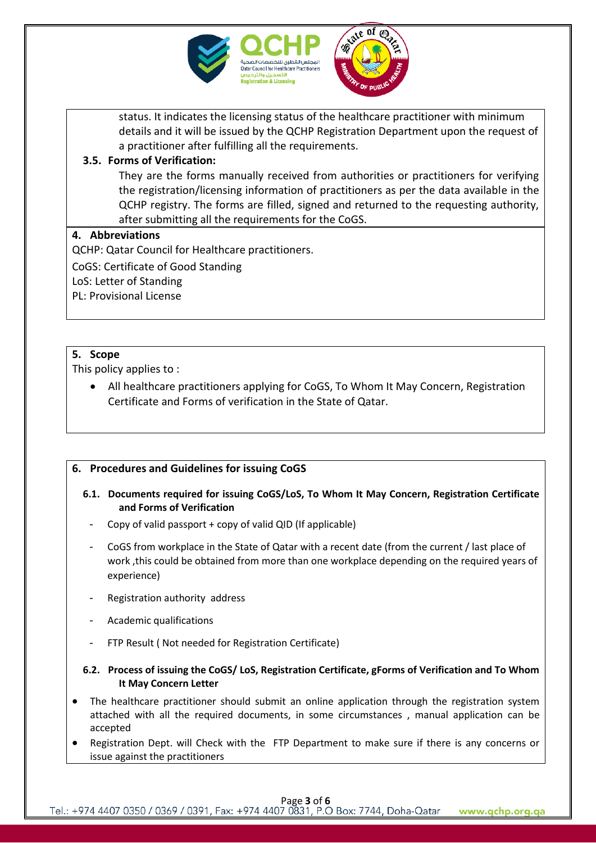



status. It indicates the licensing status of the healthcare practitioner with minimum details and it will be issued by the QCHP Registration Department upon the request of a practitioner after fulfilling all the requirements.

## **3.5. Forms of Verification:**

They are the forms manually received from authorities or practitioners for verifying the registration/licensing information of practitioners as per the data available in the QCHP registry. The forms are filled, signed and returned to the requesting authority, after submitting all the requirements for the CoGS.

### **4. Abbreviations**

QCHP: Qatar Council for Healthcare practitioners.

CoGS: Certificate of Good Standing

LoS: Letter of Standing

PL: Provisional License

## **5. Scope**

This policy applies to :

 All healthcare practitioners applying for CoGS, To Whom It May Concern, Registration Certificate and Forms of verification in the State of Qatar.

## **6. Procedures and Guidelines for issuing CoGS**

- **6.1. Documents required for issuing CoGS/LoS, To Whom It May Concern, Registration Certificate and Forms of Verification**
	- Copy of valid passport + copy of valid QID (If applicable)
	- CoGS from workplace in the State of Qatar with a recent date (from the current / last place of work ,this could be obtained from more than one workplace depending on the required years of experience)
	- Registration authority address
	- Academic qualifications
	- FTP Result ( Not needed for Registration Certificate)
- **6.2. Process of issuing the CoGS/ LoS, Registration Certificate, gForms of Verification and To Whom It May Concern Letter**
- The healthcare practitioner should submit an online application through the registration system attached with all the required documents, in some circumstances , manual application can be accepted
- Registration Dept. will Check with the FTP Department to make sure if there is any concerns or issue against the practitioners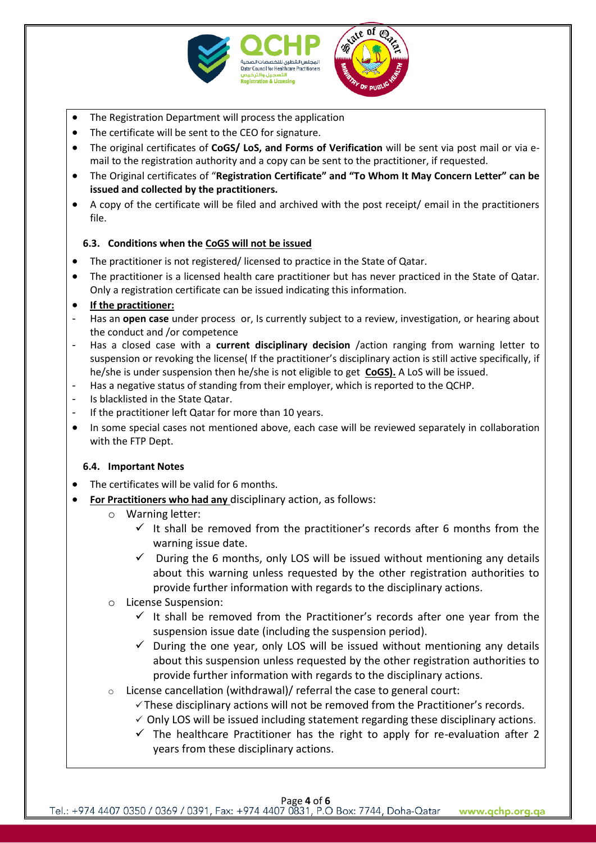



- The Registration Department will process the application
- The certificate will be sent to the CEO for signature.
- The original certificates of **CoGS/ LoS, and Forms of Verification** will be sent via post mail or via email to the registration authority and a copy can be sent to the practitioner, if requested.
- The Original certificates of "**Registration Certificate" and "To Whom It May Concern Letter" can be issued and collected by the practitioners.**
- A copy of the certificate will be filed and archived with the post receipt/ email in the practitioners file.

### **6.3. Conditions when the CoGS will not be issued**

- The practitioner is not registered/ licensed to practice in the State of Qatar.
- The practitioner is a licensed health care practitioner but has never practiced in the State of Qatar. Only a registration certificate can be issued indicating this information.
- **If the practitioner:**
- Has an **open case** under process or, Is currently subject to a review, investigation, or hearing about the conduct and /or competence
- Has a closed case with a **current disciplinary decision** /action ranging from warning letter to suspension or revoking the license( If the practitioner's disciplinary action is still active specifically, if he/she is under suspension then he/she is not eligible to get **CoGS).** A LoS will be issued.
- Has a negative status of standing from their employer, which is reported to the QCHP.
- Is blacklisted in the State Qatar.
- If the practitioner left Qatar for more than 10 years.
- In some special cases not mentioned above, each case will be reviewed separately in collaboration with the FTP Dept.

#### **6.4. Important Notes**

- The certificates will be valid for 6 months.
- **For Practitioners who had any** disciplinary action, as follows:
	- o Warning letter:
		- $\checkmark$  It shall be removed from the practitioner's records after 6 months from the warning issue date.
		- $\checkmark$  During the 6 months, only LOS will be issued without mentioning any details about this warning unless requested by the other registration authorities to provide further information with regards to the disciplinary actions.
	- o License Suspension:
		- $\checkmark$  It shall be removed from the Practitioner's records after one year from the suspension issue date (including the suspension period).
		- $\checkmark$  During the one year, only LOS will be issued without mentioning any details about this suspension unless requested by the other registration authorities to provide further information with regards to the disciplinary actions.
	- o License cancellation (withdrawal)/ referral the case to general court:
		- $\checkmark$  These disciplinary actions will not be removed from the Practitioner's records.
		- $\checkmark$  Only LOS will be issued including statement regarding these disciplinary actions.
		- $\checkmark$  The healthcare Practitioner has the right to apply for re-evaluation after 2 years from these disciplinary actions.

Page 4 of 6<br>Tel.: +974 4407 0350 / 0369 / 0391, Fax: +974 4407 0831, P.O Box: 7744, Doha-Qatar www.qchp.org.qa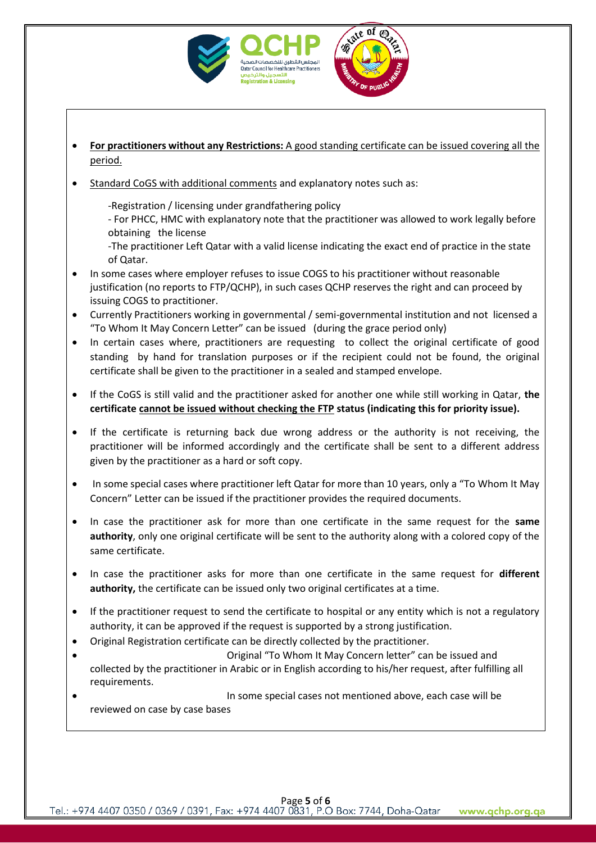



- **For practitioners without any Restrictions:** A good standing certificate can be issued covering all the period.
- Standard CoGS with additional comments and explanatory notes such as:

-Registration / licensing under grandfathering policy

- For PHCC, HMC with explanatory note that the practitioner was allowed to work legally before obtaining the license

-The practitioner Left Qatar with a valid license indicating the exact end of practice in the state of Qatar.

- In some cases where employer refuses to issue COGS to his practitioner without reasonable justification (no reports to FTP/QCHP), in such cases QCHP reserves the right and can proceed by issuing COGS to practitioner.
- Currently Practitioners working in governmental / semi-governmental institution and not licensed a "To Whom It May Concern Letter" can be issued (during the grace period only)
- In certain cases where, practitioners are requesting to collect the original certificate of good standing by hand for translation purposes or if the recipient could not be found, the original certificate shall be given to the practitioner in a sealed and stamped envelope.
- If the CoGS is still valid and the practitioner asked for another one while still working in Qatar, **the certificate cannot be issued without checking the FTP status (indicating this for priority issue).**
- If the certificate is returning back due wrong address or the authority is not receiving, the practitioner will be informed accordingly and the certificate shall be sent to a different address given by the practitioner as a hard or soft copy.
- In some special cases where practitioner left Qatar for more than 10 years, only a "To Whom It May Concern" Letter can be issued if the practitioner provides the required documents.
- In case the practitioner ask for more than one certificate in the same request for the **same authority**, only one original certificate will be sent to the authority along with a colored copy of the same certificate.
- In case the practitioner asks for more than one certificate in the same request for **different authority,** the certificate can be issued only two original certificates at a time.
- If the practitioner request to send the certificate to hospital or any entity which is not a regulatory authority, it can be approved if the request is supported by a strong justification.
- Original Registration certificate can be directly collected by the practitioner.
- Original "To Whom It May Concern letter" can be issued and collected by the practitioner in Arabic or in English according to his/her request, after fulfilling all requirements.
- In some special cases not mentioned above, each case will be reviewed on case by case bases